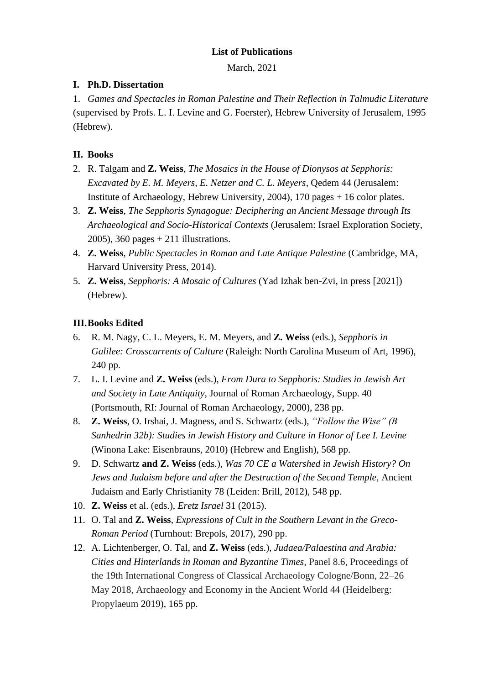# **List of Publications**

March, 2021

# **I. Ph.D. Dissertation**

1. *Games and Spectacles in Roman Palestine and Their Reflection in Talmudic Literature* (supervised by Profs. L. I. Levine and G. Foerster), Hebrew University of Jerusalem, 1995 (Hebrew).

# **II. Books**

- 2. R. Talgam and **Z. Weiss**, *The Mosaics in the House of Dionysos at Sepphoris: Excavated by E. M. Meyers, E. Netzer and C. L. Meyers*, Qedem 44 (Jerusalem: Institute of Archaeology, Hebrew University, 2004), 170 pages + 16 color plates.
- 3. **Z. Weiss**, *The Sepphoris Synagogue: Deciphering an Ancient Message through Its Archaeological and Socio-Historical Contexts* (Jerusalem: Israel Exploration Society, 2005), 360 pages + 211 illustrations.
- 4. **Z. Weiss**, *Public Spectacles in Roman and Late Antique Palestine* (Cambridge, MA, Harvard University Press, 2014).
- 5. **Z. Weiss**, *Sepphoris: A Mosaic of Cultures* (Yad Izhak ben-Zvi, in press [2021]) (Hebrew).

# **III.Books Edited**

- 6. R. M. Nagy, C. L. Meyers, E. M. Meyers, and **Z. Weiss** (eds*.*), *Sepphoris in Galilee: Crosscurrents of Culture* (Raleigh: North Carolina Museum of Art, 1996), 240 pp.
- 7. L. I. Levine and **Z. Weiss** (eds.), *From Dura to Sepphoris: Studies in Jewish Art and Society in Late Antiquity*, Journal of Roman Archaeology, Supp. 40 (Portsmouth, RI: Journal of Roman Archaeology, 2000), 238 pp.
- 8. **Z. Weiss**, O. Irshai, J. Magness, and S. Schwartz (eds.), *"Follow the Wise" (B Sanhedrin 32b): Studies in Jewish History and Culture in Honor of Lee I. Levine* (Winona Lake: Eisenbrauns, 2010) (Hebrew and English), 568 pp.
- 9. D. Schwartz **and Z. Weiss** (eds.), *Was 70 CE a Watershed in Jewish History? On Jews and Judaism before and after the Destruction of the Second Temple*, Ancient Judaism and Early Christianity 78 (Leiden: Brill, 2012), 548 pp.
- 10. **Z. Weiss** et al. (eds.), *Eretz Israel* 31 (2015).
- 11. O. Tal and **Z. Weiss**, *Expressions of Cult in the Southern Levant in the Greco-Roman Period* (Turnhout: Brepols, 2017), 290 pp.
- 12. A. Lichtenberger, O. Tal, and **Z. Weiss** (eds.), *Judaea/Palaestina and Arabia: Cities and Hinterlands in Roman and Byzantine Times*, Panel 8.6, Proceedings of the 19th International Congress of Classical Archaeology Cologne/Bonn, 22–26 May 2018, Archaeology and Economy in the Ancient World 44 (Heidelberg: Propylaeum 2019), 165 pp.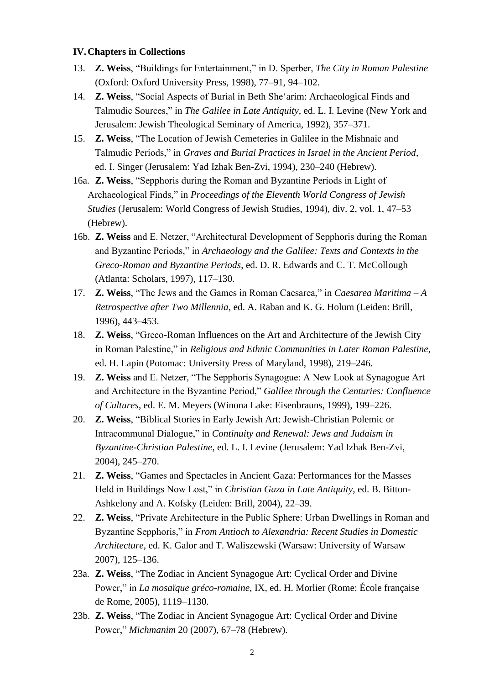#### **IV.Chapters in Collections**

- 13. **Z. Weiss**, "Buildings for Entertainment," in D. Sperber, *The City in Roman Palestine* (Oxford: Oxford University Press, 1998), 77–91, 94–102.
- 14. **Z. Weiss**, "Social Aspects of Burial in Beth She'arim: Archaeological Finds and Talmudic Sources," in *The Galilee in Late Antiquity*, ed. L. I. Levine (New York and Jerusalem: Jewish Theological Seminary of America, 1992), 357–371.
- 15. **Z. Weiss**, "The Location of Jewish Cemeteries in Galilee in the Mishnaic and Talmudic Periods," in *Graves and Burial Practices in Israel in the Ancient Period*, ed. I. Singer (Jerusalem: Yad Izhak Ben-Zvi, 1994), 230–240 (Hebrew).
- 16a. **Z. Weiss**, "Sepphoris during the Roman and Byzantine Periods in Light of Archaeological Finds," in *Proceedings of the Eleventh World Congress of Jewish Studies* (Jerusalem: World Congress of Jewish Studies, 1994), div. 2, vol. 1, 47–53 (Hebrew).
- 16b. **Z. Weiss** and E. Netzer, "Architectural Development of Sepphoris during the Roman and Byzantine Periods," in *Archaeology and the Galilee: Texts and Contexts in the Greco-Roman and Byzantine Periods*, ed. D. R. Edwards and C. T. McCollough (Atlanta: Scholars, 1997), 117–130.
- 17. **Z. Weiss**, "The Jews and the Games in Roman Caesarea," in *Caesarea Maritima – A Retrospective after Two Millennia*, ed. A. Raban and K. G. Holum (Leiden: Brill, 1996), 443–453.
- 18. **Z. Weiss**, "Greco-Roman Influences on the Art and Architecture of the Jewish City in Roman Palestine," in *Religious and Ethnic Communities in Later Roman Palestine*, ed. H. Lapin (Potomac: University Press of Maryland, 1998), 219–246.
- 19. **Z. Weiss** and E. Netzer, "The Sepphoris Synagogue: A New Look at Synagogue Art and Architecture in the Byzantine Period," *Galilee through the Centuries: Confluence of Cultures*, ed. E. M. Meyers (Winona Lake: Eisenbrauns, 1999), 199–226.
- 20. **Z. Weiss**, "Biblical Stories in Early Jewish Art: Jewish-Christian Polemic or Intracommunal Dialogue," in *Continuity and Renewal: Jews and Judaism in Byzantine-Christian Palestine*, ed. L. I. Levine (Jerusalem: Yad Izhak Ben-Zvi, 2004), 245–270.
- 21. **Z. Weiss**, "Games and Spectacles in Ancient Gaza: Performances for the Masses Held in Buildings Now Lost," in *Christian Gaza in Late Antiquity*, ed. B. Bitton-Ashkelony and A. Kofsky (Leiden: Brill, 2004), 22–39.
- 22. **Z. Weiss**, "Private Architecture in the Public Sphere: Urban Dwellings in Roman and Byzantine Sepphoris," in *From Antioch to Alexandria: Recent Studies in Domestic Architecture*, ed. K. Galor and T. Waliszewski (Warsaw: University of Warsaw 2007), 125–136.
- 23a. **Z. Weiss**, "The Zodiac in Ancient Synagogue Art: Cyclical Order and Divine Power," in *La mosaïque gréco-romaine*, IX, ed. H. Morlier (Rome: École française de Rome, 2005), 1119–1130.
- 23b. **Z. Weiss**, "The Zodiac in Ancient Synagogue Art: Cyclical Order and Divine Power," *Michmanim* 20 (2007), 67–78 (Hebrew).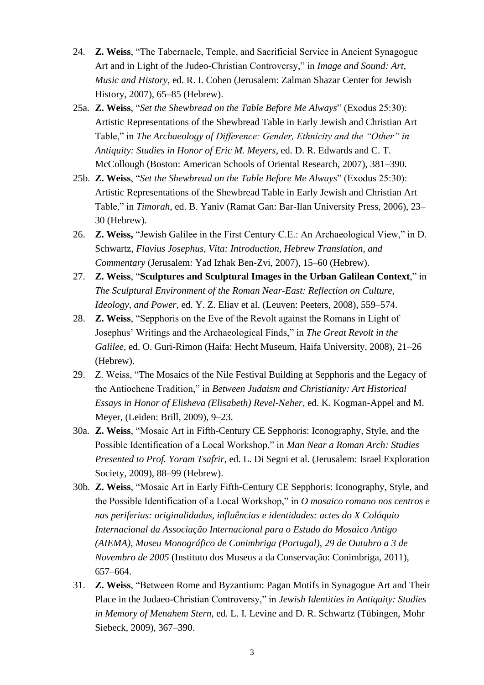- 24. **Z. Weiss**, "The Tabernacle, Temple, and Sacrificial Service in Ancient Synagogue Art and in Light of the Judeo-Christian Controversy," in *Image and Sound: Art, Music and History*, ed. R. I. Cohen (Jerusalem: Zalman Shazar Center for Jewish History, 2007), 65–85 (Hebrew).
- 25a. **Z. Weiss**, "*Set the Shewbread on the Table Before Me Always*" (Exodus 25:30): Artistic Representations of the Shewbread Table in Early Jewish and Christian Art Table," in *The Archaeology of Difference: Gender, Ethnicity and the "Other" in Antiquity: Studies in Honor of Eric M. Meyers*, ed. D. R. Edwards and C. T. McCollough (Boston: American Schools of Oriental Research, 2007), 381–390.
- 25b. **Z. Weiss**, "*Set the Shewbread on the Table Before Me Always*" (Exodus 25:30): Artistic Representations of the Shewbread Table in Early Jewish and Christian Art Table," in *Timorah*, ed. B. Yaniv (Ramat Gan: Bar-Ilan University Press, 2006), 23– 30 (Hebrew).
- 26. **Z. Weiss,** "Jewish Galilee in the First Century C.E.: An Archaeological View," in D. Schwartz, *Flavius Josephus, Vita: Introduction, Hebrew Translation, and Commentary* (Jerusalem: Yad Izhak Ben-Zvi, 2007), 15–60 (Hebrew).
- 27. **Z. Weiss**, "**Sculptures and Sculptural Images in the Urban Galilean Context**," in *The Sculptural Environment of the Roman Near-East: Reflection on Culture, Ideology, and Power*, ed. Y. Z. Eliav et al. (Leuven: Peeters, 2008), 559–574.
- 28. **Z. Weiss**, "Sepphoris on the Eve of the Revolt against the Romans in Light of Josephus' Writings and the Archaeological Finds," in *The Great Revolt in the Galilee*, ed. O. Guri-Rimon (Haifa: Hecht Museum, Haifa University, 2008), 21–26 (Hebrew).
- 29. Z. Weiss, "The Mosaics of the Nile Festival Building at Sepphoris and the Legacy of the Antiochene Tradition," in *Between Judaism and Christianity: Art Historical Essays in Honor of Elisheva (Elisabeth) Revel-Neher*, ed. K. Kogman-Appel and M. Meyer, (Leiden: Brill, 2009), 9–23.
- 30a. **Z. Weiss**, "Mosaic Art in Fifth-Century CE Sepphoris: Iconography, Style, and the Possible Identification of a Local Workshop," in *Man Near a Roman Arch: Studies Presented to Prof. Yoram Tsafrir*, ed. L. Di Segni et al. (Jerusalem: Israel Exploration Society, 2009), 88–99 (Hebrew).
- 30b. **Z. Weiss**, "Mosaic Art in Early Fifth-Century CE Sepphoris: Iconography, Style, and the Possible Identification of a Local Workshop," in *O mosaico romano nos centros e nas periferias: originalidadas, influências e identidades: actes do X Colóquio Internacional da Associação Internacional para o Estudo do Mosaico Antigo (AIEMA), Museu Monográfico de Conimbriga (Portugal), 29 de Outubro a 3 de Novembro de 2005* (Instituto dos Museus a da Conservação: Conimbriga, 2011), 657–664.
- 31. **Z. Weiss**, "Between Rome and Byzantium: Pagan Motifs in Synagogue Art and Their Place in the Judaeo-Christian Controversy," in *Jewish Identities in Antiquity: Studies in Memory of Menahem Stern*, ed. L. I. Levine and D. R. Schwartz (Tübingen, Mohr Siebeck, 2009), 367–390.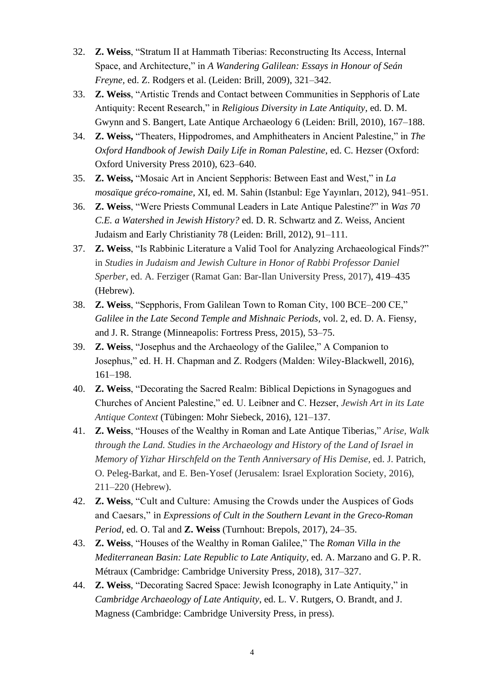- 32. **Z. Weiss**, "Stratum II at Hammath Tiberias: Reconstructing Its Access, Internal Space, and Architecture," in *A Wandering Galilean: Essays in Honour of Seán Freyne,* ed. Z. Rodgers et al. (Leiden: Brill, 2009), 321–342.
- 33. **Z. Weiss**, "Artistic Trends and Contact between Communities in Sepphoris of Late Antiquity: Recent Research," in *Religious Diversity in Late Antiquity*, ed. D. M. Gwynn and S. Bangert, Late Antique Archaeology 6 (Leiden: Brill, 2010), 167–188.
- 34. **Z. Weiss,** "Theaters, Hippodromes, and Amphitheaters in Ancient Palestine," in *The Oxford Handbook of Jewish Daily Life in Roman Palestine*, ed. C. Hezser (Oxford: Oxford University Press 2010), 623–640.
- 35. **Z. Weiss,** "Mosaic Art in Ancient Sepphoris: Between East and West," in *La mosaïque gréco-romaine*, XI, ed. M. Sahin (Istanbul: Ege Yayınları, 2012), 941–951.
- 36. **Z. Weiss**, "Were Priests Communal Leaders in Late Antique Palestine?" in *Was 70 C.E. a Watershed in Jewish History?* ed. D. R. Schwartz and Z. Weiss, Ancient Judaism and Early Christianity 78 (Leiden: Brill, 2012), 91–111.
- 37. **Z. Weiss**, "Is Rabbinic Literature a Valid Tool for Analyzing Archaeological Finds?" in *Studies in Judaism and Jewish Culture in Honor of Rabbi Professor Daniel Sperber*, ed. A. Ferziger (Ramat Gan: Bar-Ilan University Press, 2017), 419–435 (Hebrew).
- 38. **Z. Weiss**, "Sepphoris, From Galilean Town to Roman City, 100 BCE–200 CE," *Galilee in the Late Second Temple and Mishnaic Periods*, vol. 2, ed. D. A. Fiensy, and J. R. Strange (Minneapolis: Fortress Press, 2015), 53–75.
- 39. **Z. Weiss**, "Josephus and the Archaeology of the Galilee," A Companion to Josephus," ed. H. H. Chapman and Z. Rodgers (Malden: Wiley-Blackwell, 2016), 161–198.
- 40. **Z. Weiss**, "Decorating the Sacred Realm: Biblical Depictions in Synagogues and Churches of Ancient Palestine," ed. U. Leibner and C. Hezser, *Jewish Art in its Late Antique Context* (Tübingen: Mohr Siebeck, 2016), 121–137.
- 41. **Z. Weiss**, "Houses of the Wealthy in Roman and Late Antique Tiberias," *Arise, Walk through the Land. Studies in the Archaeology and History of the Land of Israel in Memory of Yizhar Hirschfeld on the Tenth Anniversary of His Demise*, ed. J. Patrich, O. Peleg-Barkat, and E. Ben-Yosef (Jerusalem: Israel Exploration Society, 2016), 211–220 (Hebrew).
- 42. **Z. Weiss**, "Cult and Culture: Amusing the Crowds under the Auspices of Gods and Caesars," in *Expressions of Cult in the Southern Levant in the Greco-Roman Period*, ed. O. Tal and **Z. Weiss** (Turnhout: Brepols, 2017), 24–35.
- 43. **Z. Weiss**, "Houses of the Wealthy in Roman Galilee," The *Roman Villa in the Mediterranean Basin: Late Republic to Late Antiquity*, ed. A. Marzano and G. P. R. Métraux (Cambridge: Cambridge University Press, 2018), 317–327.
- 44. **Z. Weiss**, "Decorating Sacred Space: Jewish Iconography in Late Antiquity," in *Cambridge Archaeology of Late Antiquity*, ed. L. V. Rutgers, O. Brandt, and J. Magness (Cambridge: Cambridge University Press, in press).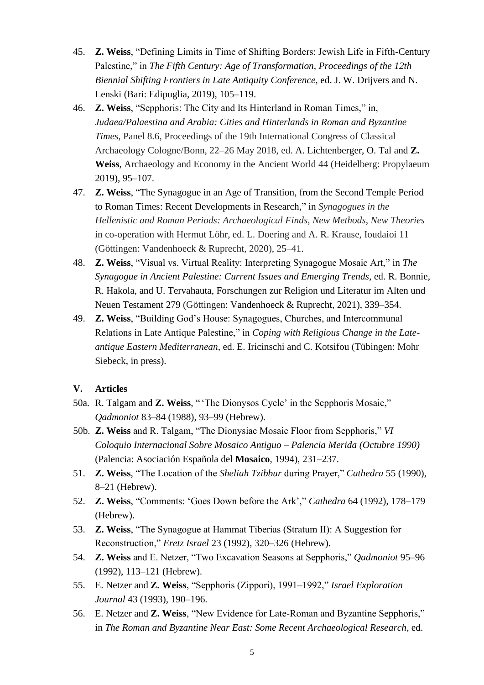- 45. **Z. Weiss**, "Defining Limits in Time of Shifting Borders: Jewish Life in Fifth-Century Palestine," in *The Fifth Century: Age of Transformation, Proceedings of the 12th Biennial Shifting Frontiers in Late Antiquity Conference*, ed. J. W. Drijvers and N. Lenski (Bari: Edipuglia, 2019), 105–119.
- 46. **Z. Weiss**, "Sepphoris: The City and Its Hinterland in Roman Times," in, *Judaea/Palaestina and Arabia: Cities and Hinterlands in Roman and Byzantine Times*, Panel 8.6, Proceedings of the 19th International Congress of Classical Archaeology Cologne/Bonn, 22–26 May 2018, ed. A. Lichtenberger, O. Tal and **Z. Weiss**, Archaeology and Economy in the Ancient World 44 (Heidelberg: Propylaeum 2019), 95–107.
- 47. **Z. Weiss**, "The Synagogue in an Age of Transition, from the Second Temple Period to Roman Times: Recent Developments in Research," in *Synagogues in the Hellenistic and Roman Periods: Archaeological Finds, New Methods, New Theories* in co-operation with Hermut Löhr, ed. L. Doering and A. R. Krause, Ioudaioi 11 (Göttingen: Vandenhoeck & Ruprecht, 2020), 25–41.
- 48. **Z. Weiss**, "Visual vs. Virtual Reality: Interpreting Synagogue Mosaic Art," in *The Synagogue in Ancient Palestine: Current Issues and Emerging Trends*, ed. R. Bonnie, R. Hakola, and U. Tervahauta, Forschungen zur Religion und Literatur im Alten und Neuen Testament 279 (Göttingen: Vandenhoeck & Ruprecht, 2021), 339–354.
- 49. **Z. Weiss**, "Building God's House: Synagogues, Churches, and Intercommunal Relations in Late Antique Palestine," in *Coping with Religious Change in the Lateantique Eastern Mediterranean*, ed. E. Iricinschi and C. Kotsifou (Tübingen: Mohr Siebeck, in press).

## **V. Articles**

- 50a. R. Talgam and **Z. Weiss**, " 'The Dionysos Cycle' in the Sepphoris Mosaic," *Qadmoniot* 83–84 (1988), 93–99 (Hebrew).
- 50b. **Z. Weiss** and R. Talgam, "The Dionysiac Mosaic Floor from Sepphoris," *VI Coloquio Internacional Sobre Mosaico Antiguo – Palencia Merida (Octubre 1990)* (Palencia: Asociación Española del **Mosaico**, 1994), 231–237.
- 51. **Z. Weiss**, "The Location of the *Sheliah Tzibbur* during Prayer," *Cathedra* 55 (1990), 8–21 (Hebrew).
- 52. **Z. Weiss**, "Comments: 'Goes Down before the Ark'," *Cathedra* 64 (1992), 178–179 (Hebrew).
- 53. **Z. Weiss**, "The Synagogue at Hammat Tiberias (Stratum II): A Suggestion for Reconstruction," *Eretz Israel* 23 (1992), 320–326 (Hebrew).
- 54. **Z. Weiss** and E. Netzer, "Two Excavation Seasons at Sepphoris," *Qadmoniot* 95–96 (1992), 113–121 (Hebrew).
- 55. E. Netzer and **Z. Weiss**, "Sepphoris (Zippori), 1991–1992," *Israel Exploration Journal* 43 (1993), 190–196.
- 56. E. Netzer and **Z. Weiss**, "New Evidence for Late-Roman and Byzantine Sepphoris," in *The Roman and Byzantine Near East: Some Recent Archaeological Research*, ed.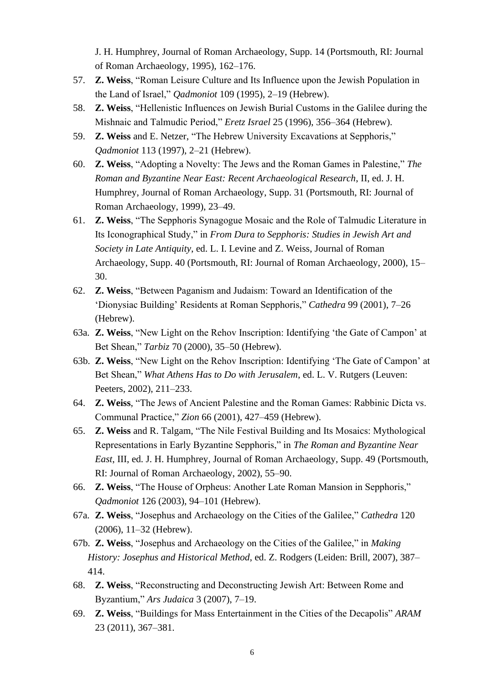J. H. Humphrey, Journal of Roman Archaeology, Supp. 14 (Portsmouth, RI: Journal of Roman Archaeology, 1995), 162–176.

- 57. **Z. Weiss**, "Roman Leisure Culture and Its Influence upon the Jewish Population in the Land of Israel," *Qadmoniot* 109 (1995), 2–19 (Hebrew).
- 58. **Z. Weiss**, "Hellenistic Influences on Jewish Burial Customs in the Galilee during the Mishnaic and Talmudic Period," *Eretz Israel* 25 (1996), 356–364 (Hebrew).
- 59. **Z. Weiss** and E. Netzer, "The Hebrew University Excavations at Sepphoris," *Qadmoniot* 113 (1997), 2–21 (Hebrew).
- 60. **Z. Weiss**, "Adopting a Novelty: The Jews and the Roman Games in Palestine," *The Roman and Byzantine Near East: Recent Archaeological Research*, II, ed. J. H. Humphrey, Journal of Roman Archaeology, Supp. 31 (Portsmouth, RI: Journal of Roman Archaeology, 1999), 23–49.
- 61. **Z. Weiss**, "The Sepphoris Synagogue Mosaic and the Role of Talmudic Literature in Its Iconographical Study," in *From Dura to Sepphoris: Studies in Jewish Art and Society in Late Antiquity*, ed. L. I. Levine and Z. Weiss, Journal of Roman Archaeology, Supp. 40 (Portsmouth, RI: Journal of Roman Archaeology, 2000), 15– 30.
- 62. **Z. Weiss**, "Between Paganism and Judaism: Toward an Identification of the 'Dionysiac Building' Residents at Roman Sepphoris," *Cathedra* 99 (2001), 7–26 (Hebrew).
- 63a. **Z. Weiss**, "New Light on the Rehov Inscription: Identifying 'the Gate of Campon' at Bet Shean," *Tarbiz* 70 (2000), 35–50 (Hebrew).
- 63b. **Z. Weiss**, "New Light on the Rehov Inscription: Identifying 'The Gate of Campon' at Bet Shean," *What Athens Has to Do with Jerusalem*, ed. L. V. Rutgers (Leuven: Peeters, 2002), 211–233.
- 64. **Z. Weiss**, "The Jews of Ancient Palestine and the Roman Games: Rabbinic Dicta vs. Communal Practice," *Zion* 66 (2001), 427–459 (Hebrew).
- 65. **Z. Weiss** and R. Talgam, "The Nile Festival Building and Its Mosaics: Mythological Representations in Early Byzantine Sepphoris," in *The Roman and Byzantine Near East*, III, ed. J. H. Humphrey, Journal of Roman Archaeology, Supp. 49 (Portsmouth, RI: Journal of Roman Archaeology, 2002), 55–90.
- 66. **Z. Weiss**, "The House of Orpheus: Another Late Roman Mansion in Sepphoris," *Qadmoniot* 126 (2003), 94–101 (Hebrew).
- 67a. **Z. Weiss**, "Josephus and Archaeology on the Cities of the Galilee," *Cathedra* 120 (2006), 11–32 (Hebrew).
- 67b. **Z. Weiss**, "Josephus and Archaeology on the Cities of the Galilee," in *Making History: Josephus and Historical Method*, ed. Z. Rodgers (Leiden: Brill, 2007), 387– 414.
- 68. **Z. Weiss**, "Reconstructing and Deconstructing Jewish Art: Between Rome and Byzantium," *Ars Judaica* 3 (2007), 7–19.
- 69. **Z. Weiss**, "Buildings for Mass Entertainment in the Cities of the Decapolis" *ARAM* 23 (2011), 367–381.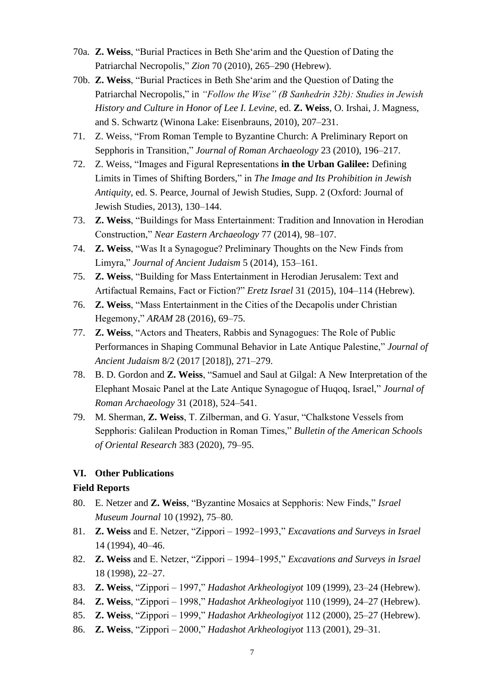- 70a. **Z. Weiss**, "Burial Practices in Beth She'arim and the Question of Dating the Patriarchal Necropolis," *Zion* 70 (2010), 265–290 (Hebrew).
- 70b. **Z. Weiss**, "Burial Practices in Beth She'arim and the Question of Dating the Patriarchal Necropolis," in *"Follow the Wise" (B Sanhedrin 32b): Studies in Jewish History and Culture in Honor of Lee I. Levine*, ed. **Z. Weiss**, O. Irshai, J. Magness, and S. Schwartz (Winona Lake: Eisenbrauns, 2010), 207–231.
- 71. Z. Weiss, "From Roman Temple to Byzantine Church: A Preliminary Report on Sepphoris in Transition," *Journal of Roman Archaeology* 23 (2010), 196–217.
- 72. Z. Weiss, "Images and Figural Representations **in the Urban Galilee:** Defining Limits in Times of Shifting Borders," in *The Image and Its Prohibition in Jewish Antiquity*, ed. S. Pearce, Journal of Jewish Studies, Supp. 2 (Oxford: Journal of Jewish Studies, 2013), 130–144.
- 73. **Z. Weiss**, "Buildings for Mass Entertainment: Tradition and Innovation in Herodian Construction," *Near Eastern Archaeology* 77 (2014), 98–107.
- 74. **Z. Weiss**, "Was It a Synagogue? Preliminary Thoughts on the New Finds from Limyra," *Journal of Ancient Judaism* 5 (2014), 153–161.
- 75. **Z. Weiss**, "Building for Mass Entertainment in Herodian Jerusalem: Text and Artifactual Remains, Fact or Fiction?" *Eretz Israel* 31 (2015), 104–114 (Hebrew).
- 76. **Z. Weiss**, "Mass Entertainment in the Cities of the Decapolis under Christian Hegemony," *ARAM* 28 (2016), 69–75.
- 77. **Z. Weiss**, "Actors and Theaters, Rabbis and Synagogues: The Role of Public Performances in Shaping Communal Behavior in Late Antique Palestine," *Journal of Ancient Judaism* 8/2 (2017 [2018]), 271–279.
- 78. B. D. Gordon and **Z. Weiss**, "Samuel and Saul at Gilgal: A New Interpretation of the Elephant Mosaic Panel at the Late Antique Synagogue of Huqoq, Israel," *Journal of Roman Archaeology* 31 (2018), 524–541.
- 79. M. Sherman, **Z. Weiss**, T. Zilberman, and G. Yasur, "Chalkstone Vessels from Sepphoris: Galilean Production in Roman Times," *Bulletin of the American Schools of Oriental Research* 383 (2020), 79–95.

### **VI. Other Publications**

### **Field Reports**

- 80. E. Netzer and **Z. Weiss**, "Byzantine Mosaics at Sepphoris: New Finds," *Israel Museum Journal* 10 (1992), 75–80.
- 81. **Z. Weiss** and E. Netzer, "Zippori 1992–1993," *Excavations and Surveys in Israel* 14 (1994), 40–46.
- 82. **Z. Weiss** and E. Netzer, "Zippori 1994–1995," *Excavations and Surveys in Israel* 18 (1998), 22–27.
- 83. **Z. Weiss**, "Zippori 1997," *Hadashot Arkheologiyot* 109 (1999), 23–24 (Hebrew).
- 84. **Z. Weiss**, "Zippori 1998," *Hadashot Arkheologiyot* 110 (1999), 24–27 (Hebrew).
- 85. **Z. Weiss**, "Zippori 1999," *Hadashot Arkheologiyot* 112 (2000), 25–27 (Hebrew).
- 86. **Z. Weiss**, "Zippori 2000," *Hadashot Arkheologiyot* 113 (2001), 29–31.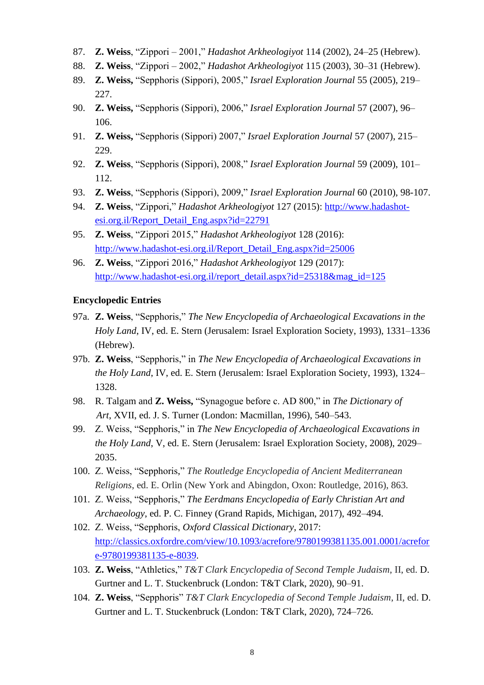- 87. **Z. Weiss**, "Zippori 2001," *Hadashot Arkheologiyot* 114 (2002), 24–25 (Hebrew).
- 88. **Z. Weiss**, "Zippori 2002," *Hadashot Arkheologiyot* 115 (2003), 30–31 (Hebrew).
- 89. **Z. Weiss,** "Sepphoris (Sippori), 2005," *Israel Exploration Journal* 55 (2005), 219– 227.
- 90. **Z. Weiss,** "Sepphoris (Sippori), 2006," *Israel Exploration Journal* 57 (2007), 96– 106.
- 91. **Z. Weiss,** "Sepphoris (Sippori) 2007," *Israel Exploration Journal* 57 (2007), 215– 229.
- 92. **Z. Weiss**, "Sepphoris (Sippori), 2008," *Israel Exploration Journal* 59 (2009), 101– 112.
- 93. **Z. Weiss**, "Sepphoris (Sippori), 2009," *Israel Exploration Journal* 60 (2010), 98-107.
- 94. **Z. Weiss**, "Zippori," *Hadashot Arkheologiyot* 127 (2015): [http://www.hadashot](http://www.hadashot-esi.org.il/Report_Detail_Eng.aspx?id=22791)[esi.org.il/Report\\_Detail\\_Eng.aspx?id=22791](http://www.hadashot-esi.org.il/Report_Detail_Eng.aspx?id=22791)
- 95. **Z. Weiss**, "Zippori 2015," *Hadashot Arkheologiyot* 128 (2016): [http://www.hadashot-esi.org.il/Report\\_Detail\\_Eng.aspx?id=25006](http://www.hadashot-esi.org.il/Report_Detail_Eng.aspx?id=25006)
- 96. **Z. Weiss**, "Zippori 2016," *Hadashot Arkheologiyot* 129 (2017): [http://www.hadashot-esi.org.il/report\\_detail.aspx?id=25318&mag\\_id=125](http://www.hadashot-esi.org.il/report_detail.aspx?id=25318&mag_id=125)

#### **Encyclopedic Entries**

- 97a. **Z. Weiss**, "Sepphoris," *The New Encyclopedia of Archaeological Excavations in the Holy Land*, IV, ed. E. Stern (Jerusalem: Israel Exploration Society, 1993), 1331–1336 (Hebrew).
- 97b. **Z. Weiss**, "Sepphoris," in *The New Encyclopedia of Archaeological Excavations in the Holy Land*, IV, ed. E. Stern (Jerusalem: Israel Exploration Society, 1993), 1324– 1328.
- 98. R. Talgam and **Z. Weiss,** "Synagogue before c. AD 800," in *The Dictionary of Art*, XVII, ed. J. S. Turner (London: Macmillan, 1996), 540–543.
- 99. Z. Weiss, "Sepphoris," in *The New Encyclopedia of Archaeological Excavations in the Holy Land*, V, ed. E. Stern (Jerusalem: Israel Exploration Society, 2008), 2029– 2035.
- 100. Z. Weiss, "Sepphoris," *The Routledge Encyclopedia of Ancient Mediterranean Religions*, ed. E. Orlin (New York and Abingdon, Oxon: Routledge, 2016), 863.
- 101. Z. Weiss, "Sepphoris," *The Eerdmans Encyclopedia of Early Christian Art and Archaeology*, ed. P. C. Finney (Grand Rapids, Michigan, 2017), 492–494.
- 102. Z. Weiss, "Sepphoris, *Oxford Classical Dictionary*, 2017: [http://classics.oxfordre.com/view/10.1093/acrefore/9780199381135.001.0001/acrefor](http://classics.oxfordre.com/view/10.1093/acrefore/9780199381135.001.0001/acrefore-9780199381135-e-8039) [e-9780199381135-e-8039.](http://classics.oxfordre.com/view/10.1093/acrefore/9780199381135.001.0001/acrefore-9780199381135-e-8039)
- 103. **Z. Weiss**, "Athletics," *T&T Clark Encyclopedia of Second Temple Judaism*, II, ed. D. Gurtner and L. T. Stuckenbruck (London: T&T Clark, 2020), 90–91.
- 104. **Z. Weiss**, "Sepphoris" *T&T Clark Encyclopedia of Second Temple Judaism*, II, ed. D. Gurtner and L. T. Stuckenbruck (London: T&T Clark, 2020), 724–726.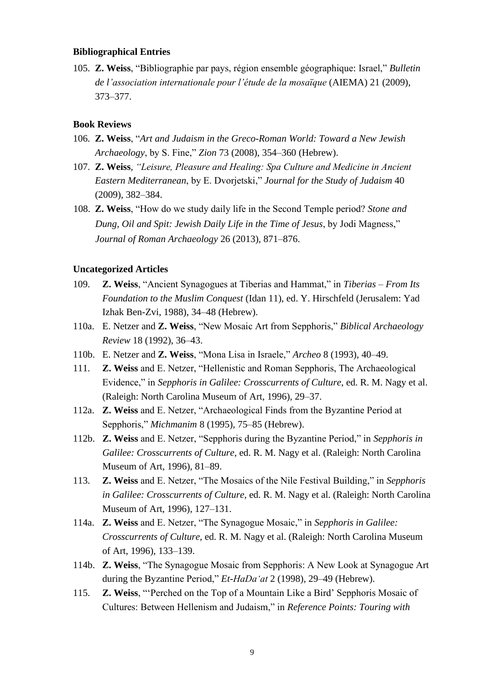#### **Bibliographical Entries**

105. **Z. Weiss**, "Bibliographie par pays, région ensemble géographique: Israel," *Bulletin de l'association internationale pour l'étude de la mosaïque* (AIEMA) 21 (2009), 373–377.

#### **Book Reviews**

- 106. **Z. Weiss**, "*Art and Judaism in the Greco-Roman World: Toward a New Jewish Archaeology*, by S. Fine," *Zion* 73 (2008), 354–360 (Hebrew).
- 107. **Z. Weiss**, *"Leisure, Pleasure and Healing: Spa Culture and Medicine in Ancient Eastern Mediterranean*, by E. Dvorjetski," *Journal for the Study of Judaism* 40 (2009), 382–384.
- 108. **Z. Weiss**, "How do we study daily life in the Second Temple period? *Stone and Dung, Oil and Spit: Jewish Daily Life in the Time of Jesus*, by Jodi Magness," *Journal of Roman Archaeology* 26 (2013), 871–876.

#### **Uncategorized Articles**

- 109. **Z. Weiss**, "Ancient Synagogues at Tiberias and Hammat," in *Tiberias – From Its Foundation to the Muslim Conquest* (Idan 11), ed. Y. Hirschfeld (Jerusalem: Yad Izhak Ben-Zvi, 1988), 34–48 (Hebrew).
- 110a. E. Netzer and **Z. Weiss**, "New Mosaic Art from Sepphoris," *Biblical Archaeology Review* 18 (1992), 36–43.
- 110b. E. Netzer and **Z. Weiss**, "Mona Lisa in Israele," *Archeo* 8 (1993), 40–49.
- 111. **Z. Weiss** and E. Netzer, "Hellenistic and Roman Sepphoris, The Archaeological Evidence," in *Sepphoris in Galilee: Crosscurrents of Culture*, ed. R. M. Nagy et al. (Raleigh: North Carolina Museum of Art, 1996), 29–37.
- 112a. **Z. Weiss** and E. Netzer, "Archaeological Finds from the Byzantine Period at Sepphoris," *Michmanim* 8 (1995), 75–85 (Hebrew).
- 112b. **Z. Weiss** and E. Netzer, "Sepphoris during the Byzantine Period," in *Sepphoris in Galilee: Crosscurrents of Culture*, ed. R. M. Nagy et al. (Raleigh: North Carolina Museum of Art, 1996), 81–89.
- 113. **Z. Weiss** and E. Netzer, "The Mosaics of the Nile Festival Building," in *Sepphoris in Galilee: Crosscurrents of Culture*, ed. R. M. Nagy et al. (Raleigh: North Carolina Museum of Art, 1996), 127–131.
- 114a. **Z. Weiss** and E. Netzer, "The Synagogue Mosaic," in *Sepphoris in Galilee: Crosscurrents of Culture*, ed. R. M. Nagy et al. (Raleigh: North Carolina Museum of Art, 1996), 133–139.
- 114b. **Z. Weiss**, "The Synagogue Mosaic from Sepphoris: A New Look at Synagogue Art during the Byzantine Period," *Et-HaDa'at* 2 (1998), 29–49 (Hebrew).
- 115. **Z. Weiss**, "'Perched on the Top of a Mountain Like a Bird' Sepphoris Mosaic of Cultures: Between Hellenism and Judaism," in *Reference Points: Touring with*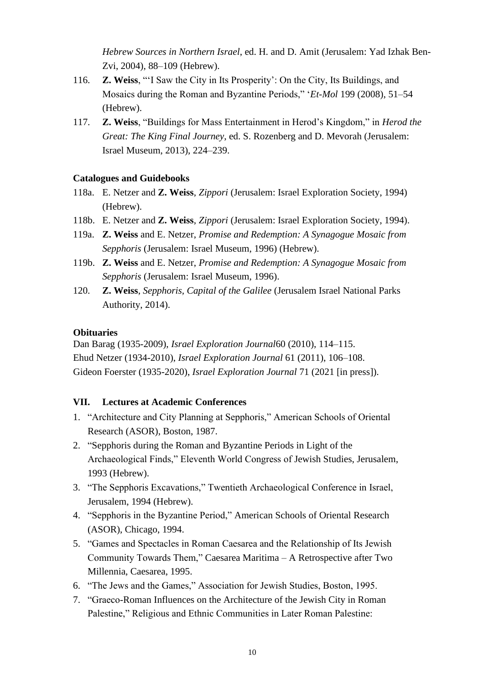*Hebrew Sources in Northern Israel*, ed. H. and D. Amit (Jerusalem: Yad Izhak Ben-Zvi, 2004), 88–109 (Hebrew).

- 116. **Z. Weiss**, "'I Saw the City in Its Prosperity': On the City, Its Buildings, and Mosaics during the Roman and Byzantine Periods," '*Et-Mol* 199 (2008), 51–54 (Hebrew).
- 117. **Z. Weiss**, "Buildings for Mass Entertainment in Herod's Kingdom," in *Herod the Great: The King Final Journey*, ed. S. Rozenberg and D. Mevorah (Jerusalem: Israel Museum, 2013), 224–239.

## **Catalogues and Guidebooks**

- 118a. E. Netzer and **Z. Weiss**, *Zippori* (Jerusalem: Israel Exploration Society, 1994) (Hebrew).
- 118b. E. Netzer and **Z. Weiss**, *Zippori* (Jerusalem: Israel Exploration Society, 1994).
- 119a. **Z. Weiss** and E. Netzer, *Promise and Redemption: A Synagogue Mosaic from Sepphoris* (Jerusalem: Israel Museum, 1996) (Hebrew).
- 119b. **Z. Weiss** and E. Netzer, *Promise and Redemption: A Synagogue Mosaic from Sepphoris* (Jerusalem: Israel Museum, 1996).
- 120. **Z. Weiss**, *Sepphoris, Capital of the Galilee* (Jerusalem Israel National Parks Authority, 2014).

# **Obituaries**

Dan Barag (1935-2009), *Israel Exploration Journal*60 (2010), 114–115. Ehud Netzer (1934-2010), *Israel Exploration Journal* 61 (2011), 106–108. Gideon Foerster (1935-2020), *Israel Exploration Journal* 71 (2021 [in press]).

# **VII. Lectures at Academic Conferences**

- 1. "Architecture and City Planning at Sepphoris," American Schools of Oriental Research (ASOR), Boston, 1987.
- 2. "Sepphoris during the Roman and Byzantine Periods in Light of the Archaeological Finds," Eleventh World Congress of Jewish Studies, Jerusalem, 1993 (Hebrew).
- 3. "The Sepphoris Excavations," Twentieth Archaeological Conference in Israel, Jerusalem, 1994 (Hebrew).
- 4. "Sepphoris in the Byzantine Period," American Schools of Oriental Research (ASOR), Chicago, 1994.
- 5. "Games and Spectacles in Roman Caesarea and the Relationship of Its Jewish Community Towards Them," Caesarea Maritima – A Retrospective after Two Millennia, Caesarea, 1995.
- 6. "The Jews and the Games," Association for Jewish Studies, Boston, 1995.
- 7. "Graeco-Roman Influences on the Architecture of the Jewish City in Roman Palestine," Religious and Ethnic Communities in Later Roman Palestine: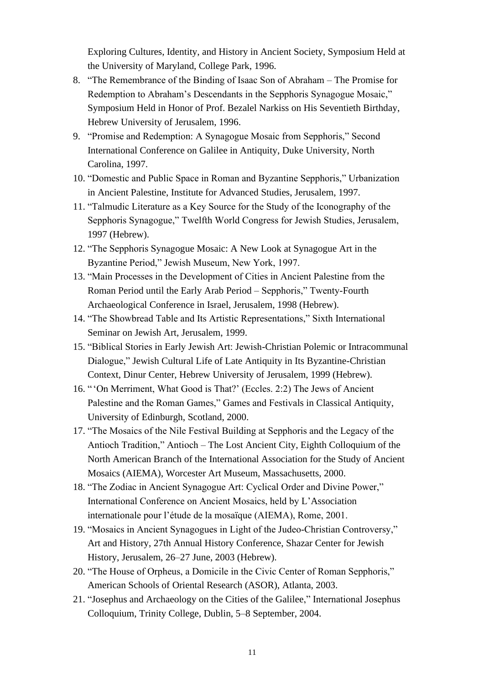Exploring Cultures, Identity, and History in Ancient Society, Symposium Held at the University of Maryland, College Park, 1996.

- 8. "The Remembrance of the Binding of Isaac Son of Abraham The Promise for Redemption to Abraham's Descendants in the Sepphoris Synagogue Mosaic," Symposium Held in Honor of Prof. Bezalel Narkiss on His Seventieth Birthday, Hebrew University of Jerusalem, 1996.
- 9. "Promise and Redemption: A Synagogue Mosaic from Sepphoris," Second International Conference on Galilee in Antiquity, Duke University, North Carolina, 1997.
- 10. "Domestic and Public Space in Roman and Byzantine Sepphoris," Urbanization in Ancient Palestine, Institute for Advanced Studies, Jerusalem, 1997.
- 11. "Talmudic Literature as a Key Source for the Study of the Iconography of the Sepphoris Synagogue," Twelfth World Congress for Jewish Studies, Jerusalem, 1997 (Hebrew).
- 12. "The Sepphoris Synagogue Mosaic: A New Look at Synagogue Art in the Byzantine Period," Jewish Museum, New York, 1997.
- 13. "Main Processes in the Development of Cities in Ancient Palestine from the Roman Period until the Early Arab Period – Sepphoris," Twenty-Fourth Archaeological Conference in Israel, Jerusalem, 1998 (Hebrew).
- 14. "The Showbread Table and Its Artistic Representations," Sixth International Seminar on Jewish Art, Jerusalem, 1999.
- 15. "Biblical Stories in Early Jewish Art: Jewish-Christian Polemic or Intracommunal Dialogue," Jewish Cultural Life of Late Antiquity in Its Byzantine-Christian Context, Dinur Center, Hebrew University of Jerusalem, 1999 (Hebrew).
- 16. " 'On Merriment, What Good is That?' (Eccles. 2:2) The Jews of Ancient Palestine and the Roman Games," Games and Festivals in Classical Antiquity, University of Edinburgh, Scotland, 2000.
- 17. "The Mosaics of the Nile Festival Building at Sepphoris and the Legacy of the Antioch Tradition," Antioch – The Lost Ancient City, Eighth Colloquium of the North American Branch of the International Association for the Study of Ancient Mosaics (AIEMA), Worcester Art Museum, Massachusetts, 2000.
- 18. "The Zodiac in Ancient Synagogue Art: Cyclical Order and Divine Power," International Conference on Ancient Mosaics, held by L'Association internationale pour l'étude de la mosaïque (AIEMA), Rome, 2001.
- 19. "Mosaics in Ancient Synagogues in Light of the Judeo-Christian Controversy," Art and History, 27th Annual History Conference, Shazar Center for Jewish History, Jerusalem, 26–27 June, 2003 (Hebrew).
- 20. "The House of Orpheus, a Domicile in the Civic Center of Roman Sepphoris," American Schools of Oriental Research (ASOR), Atlanta, 2003.
- 21. "Josephus and Archaeology on the Cities of the Galilee," International Josephus Colloquium, Trinity College, Dublin, 5–8 September, 2004.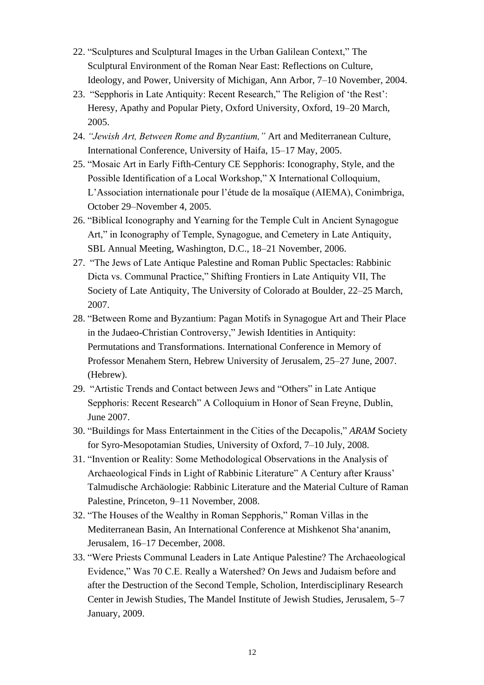- 22. "Sculptures and Sculptural Images in the Urban Galilean Context," The Sculptural Environment of the Roman Near East: Reflections on Culture, Ideology, and Power, University of Michigan, Ann Arbor, 7–10 November, 2004.
- 23. "Sepphoris in Late Antiquity: Recent Research," The Religion of 'the Rest': Heresy, Apathy and Popular Piety, Oxford University, Oxford, 19–20 March, 2005.
- 24. *"Jewish Art, Between Rome and Byzantium,"* Art and Mediterranean Culture, International Conference, University of Haifa, 15–17 May, 2005.
- 25. "Mosaic Art in Early Fifth-Century CE Sepphoris: Iconography, Style, and the Possible Identification of a Local Workshop," X International Colloquium, L'Association internationale pour l'étude de la mosaïque (AIEMA), Conimbriga, October 29–November 4, 2005.
- 26. "Biblical Iconography and Yearning for the Temple Cult in Ancient Synagogue Art," in Iconography of Temple, Synagogue, and Cemetery in Late Antiquity, SBL Annual Meeting, Washington, D.C., 18–21 November, 2006.
- 27. "The Jews of Late Antique Palestine and Roman Public Spectacles: Rabbinic Dicta vs. Communal Practice," Shifting Frontiers in Late Antiquity VII, The Society of Late Antiquity, The University of Colorado at Boulder, 22–25 March, 2007.
- 28. "Between Rome and Byzantium: Pagan Motifs in Synagogue Art and Their Place in the Judaeo-Christian Controversy," Jewish Identities in Antiquity: Permutations and Transformations. International Conference in Memory of Professor Menahem Stern, Hebrew University of Jerusalem, 25–27 June, 2007. (Hebrew).
- 29. "Artistic Trends and Contact between Jews and "Others" in Late Antique Sepphoris: Recent Research" A Colloquium in Honor of Sean Freyne, Dublin, June 2007.
- 30. "Buildings for Mass Entertainment in the Cities of the Decapolis," *ARAM* Society for Syro-Mesopotamian Studies, University of Oxford, 7–10 July, 2008.
- 31. "Invention or Reality: Some Methodological Observations in the Analysis of Archaeological Finds in Light of Rabbinic Literature" A Century after Krauss' Talmudische Archäologie: Rabbinic Literature and the Material Culture of Raman Palestine, Princeton, 9–11 November, 2008.
- 32. "The Houses of the Wealthy in Roman Sepphoris," Roman Villas in the Mediterranean Basin, An International Conference at Mishkenot Sha'ananim, Jerusalem, 16–17 December, 2008.
- 33. "Were Priests Communal Leaders in Late Antique Palestine? The Archaeological Evidence," Was 70 C.E. Really a Watershed? On Jews and Judaism before and after the Destruction of the Second Temple, Scholion, Interdisciplinary Research Center in Jewish Studies, The Mandel Institute of Jewish Studies, Jerusalem, 5–7 January, 2009.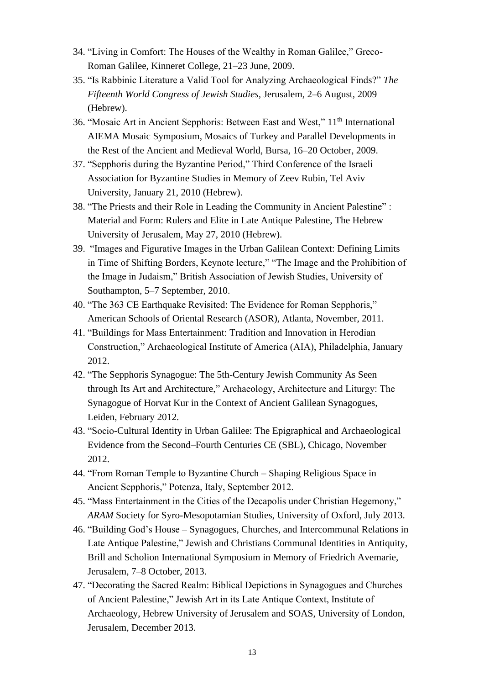- 34. "Living in Comfort: The Houses of the Wealthy in Roman Galilee," Greco-Roman Galilee, Kinneret College, 21–23 June, 2009.
- 35. "Is Rabbinic Literature a Valid Tool for Analyzing Archaeological Finds?" *The Fifteenth World Congress of Jewish Studies,* Jerusalem, 2–6 August, 2009 (Hebrew).
- 36. "Mosaic Art in Ancient Sepphoris: Between East and West," 11<sup>th</sup> International AIEMA Mosaic Symposium, Mosaics of Turkey and Parallel Developments in the Rest of the Ancient and Medieval World, Bursa, 16–20 October, 2009.
- 37. "Sepphoris during the Byzantine Period," Third Conference of the Israeli Association for Byzantine Studies in Memory of Zeev Rubin, Tel Aviv University, January 21, 2010 (Hebrew).
- 38. "The Priests and their Role in Leading the Community in Ancient Palestine" : Material and Form: Rulers and Elite in Late Antique Palestine, The Hebrew University of Jerusalem, May 27, 2010 (Hebrew).
- 39. "Images and Figurative Images in the Urban Galilean Context: Defining Limits in Time of Shifting Borders, Keynote lecture," "The Image and the Prohibition of the Image in Judaism," British Association of Jewish Studies, University of Southampton, 5–7 September, 2010.
- 40. "The 363 CE Earthquake Revisited: The Evidence for Roman Sepphoris," American Schools of Oriental Research (ASOR), Atlanta, November, 2011.
- 41. "Buildings for Mass Entertainment: Tradition and Innovation in Herodian Construction," Archaeological Institute of America (AIA), Philadelphia, January 2012.
- 42. "The Sepphoris Synagogue: The 5th-Century Jewish Community As Seen through Its Art and Architecture," Archaeology, Architecture and Liturgy: The Synagogue of Horvat Kur in the Context of Ancient Galilean Synagogues, Leiden, February 2012.
- 43. "Socio-Cultural Identity in Urban Galilee: The Epigraphical and Archaeological Evidence from the Second–Fourth Centuries CE (SBL), Chicago, November 2012.
- 44. "From Roman Temple to Byzantine Church Shaping Religious Space in Ancient Sepphoris," Potenza, Italy, September 2012.
- 45. "Mass Entertainment in the Cities of the Decapolis under Christian Hegemony," *ARAM* Society for Syro-Mesopotamian Studies, University of Oxford, July 2013.
- 46. "Building God's House Synagogues, Churches, and Intercommunal Relations in Late Antique Palestine," Jewish and Christians Communal Identities in Antiquity, Brill and Scholion International Symposium in Memory of Friedrich Avemarie, Jerusalem, 7–8 October, 2013.
- 47. "Decorating the Sacred Realm: Biblical Depictions in Synagogues and Churches of Ancient Palestine," Jewish Art in its Late Antique Context, Institute of Archaeology, Hebrew University of Jerusalem and SOAS, University of London, Jerusalem, December 2013.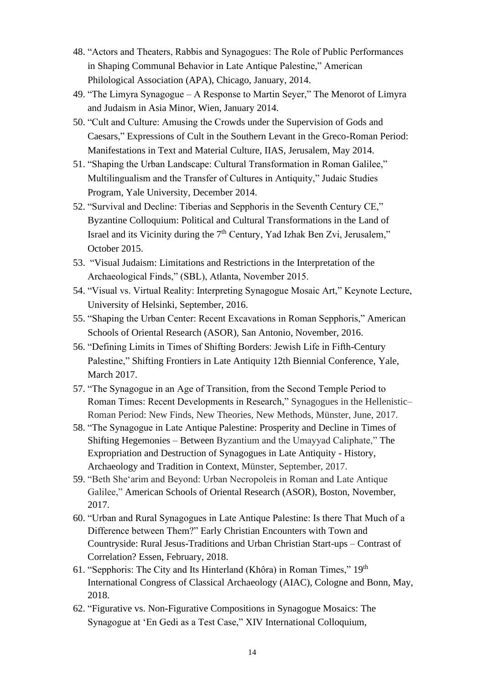- 48. "Actors and Theaters, Rabbis and Synagogues: The Role of Public Performances in Shaping Communal Behavior in Late Antique Palestine," American Philological Association (APA), Chicago, January, 2014.
- 49. "The Limyra Synagogue A Response to Martin Seyer," The Menorot of Limyra and Judaism in Asia Minor, Wien, January 2014.
- 50. "Cult and Culture: Amusing the Crowds under the Supervision of Gods and Caesars," Expressions of Cult in the Southern Levant in the Greco-Roman Period: Manifestations in Text and Material Culture, IIAS, Jerusalem, May 2014.
- 51. "Shaping the Urban Landscape: Cultural Transformation in Roman Galilee," Multilingualism and the Transfer of Cultures in Antiquity," Judaic Studies Program, Yale University, December 2014.
- 52. "Survival and Decline: Tiberias and Sepphoris in the Seventh Century CE," Byzantine Colloquium: Political and Cultural Transformations in the Land of Israel and its Vicinity during the 7<sup>th</sup> Century, Yad Izhak Ben Zvi, Jerusalem," October 2015.
- 53. "Visual Judaism: Limitations and Restrictions in the Interpretation of the Archaeological Finds," (SBL), Atlanta, November 2015.
- 54. "Visual vs. Virtual Reality: Interpreting Synagogue Mosaic Art," Keynote Lecture, University of Helsinki, September, 2016.
- 55. "Shaping the Urban Center: Recent Excavations in Roman Sepphoris," American Schools of Oriental Research (ASOR), San Antonio, November, 2016.
- 56. "Defining Limits in Times of Shifting Borders: Jewish Life in Fifth-Century Palestine," Shifting Frontiers in Late Antiquity 12th Biennial Conference, Yale, March 2017.
- 57. "The Synagogue in an Age of Transition, from the Second Temple Period to Roman Times: Recent Developments in Research," Synagogues in the Hellenistic– Roman Period: New Finds, New Theories, New Methods, Münster, June, 2017.
- 58. "The Synagogue in Late Antique Palestine: Prosperity and Decline in Times of Shifting Hegemonies – Between Byzantium and the Umayyad Caliphate," The Expropriation and Destruction of Synagogues in Late Antiquity - History, Archaeology and Tradition in Context, Münster, September, 2017.
- 59. "Beth She'arim and Beyond: Urban Necropoleis in Roman and Late Antique Galilee," American Schools of Oriental Research (ASOR), Boston, November, 2017.
- 60. "Urban and Rural Synagogues in Late Antique Palestine: Is there That Much of a Difference between Them?" Early Christian Encounters with Town and Countryside: Rural Jesus-Traditions and Urban Christian Start-ups – Contrast of Correlation? Essen, February, 2018.
- 61. "Sepphoris: The City and Its Hinterland (Khôra) in Roman Times," 19th International Congress of Classical Archaeology (AIAC), Cologne and Bonn, May, 2018.
- 62. "Figurative vs. Non-Figurative Compositions in Synagogue Mosaics: The Synagogue at 'En Gedi as a Test Case," XIV International Colloquium,